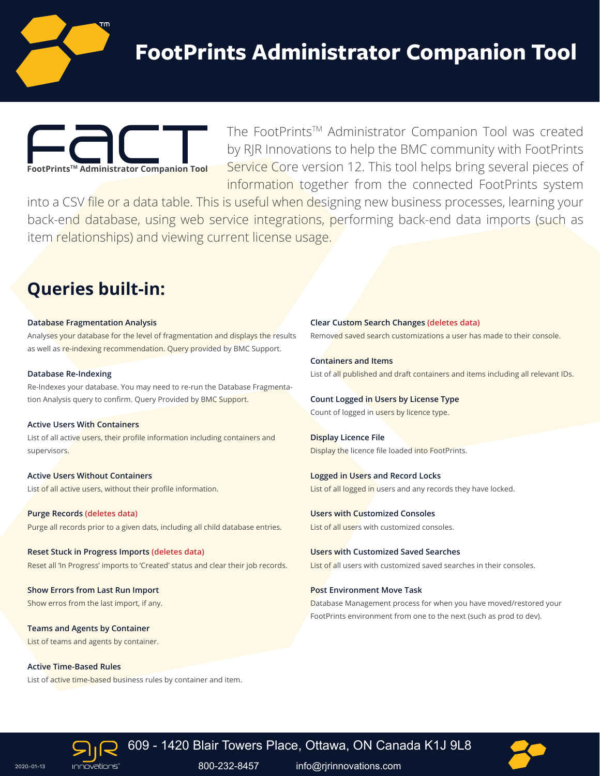

# **FootPrints Administrator Companion Tool**



The FootPrints™ Administrator Companion Tool was created by RJR Innovations to help the BMC community with FootPrints Service Core version 12. This tool helps bring several pieces of information together from the connected FootPrints system

into a CSV file or a data table. This is useful when designing new business processes, learning your back-end database, using web service integrations, performing back-end data imports (such as item relationships) and viewing current license usage.

# **Queries built-in:**

#### **Database Fragmentation Analysis**

Analyses your database for the level of fragmentation and displays the results as well as re-indexing recommendation. Query provided by BMC Support.

#### **Database Re-Indexing**

Re-Indexes your database. You may need to re-run the Database Fragmentation Analysis query to confirm. Query Provided by BMC Support.

#### **Active Users With Containers**

List of all active users, their profile information including containers and supervisors.

**Active Users Without Containers** List of all active users, without their profile information.

**Purge Records (deletes data)** Purge all records prior to a given dats, including all child database entries.

**Reset Stuck in Progress Imports (deletes data)** Reset all 'In Progress' imports to 'Created' status and clear their job records.

**Show Errors from Last Run Import** Show erros from the last import, if any.

**Teams and Agents by Container** List of teams and agents by container.

**Active Time-Based Rules** List of active time-based business rules by container and item. **Clear Custom Search Changes (deletes data)** Removed saved search customizations a user has made to their console.

**Containers and Items** List of all published and draft containers and items including all relevant IDs.

**Count Logged in Users by License Type** Count of logged in users by licence type.

**Display Licence File** Display the licence file loaded into FootPrints.

**Logged in Users and Record Locks** List of all logged in users and any records they have locked.

**Users with Customized Consoles** List of all users with customized consoles.

**Users with Customized Saved Searches** List of all users with customized saved searches in their consoles.

**Post Environment Move Task**

Database Management process for when you have moved/restored your FootPrints environment from one to the next (such as prod to dev).



609 - 1420 Blair Towers Place, Ottawa, ON Canada K1J 9L8



2020-01-13 800-232-8457 info@rjrinnovations.com